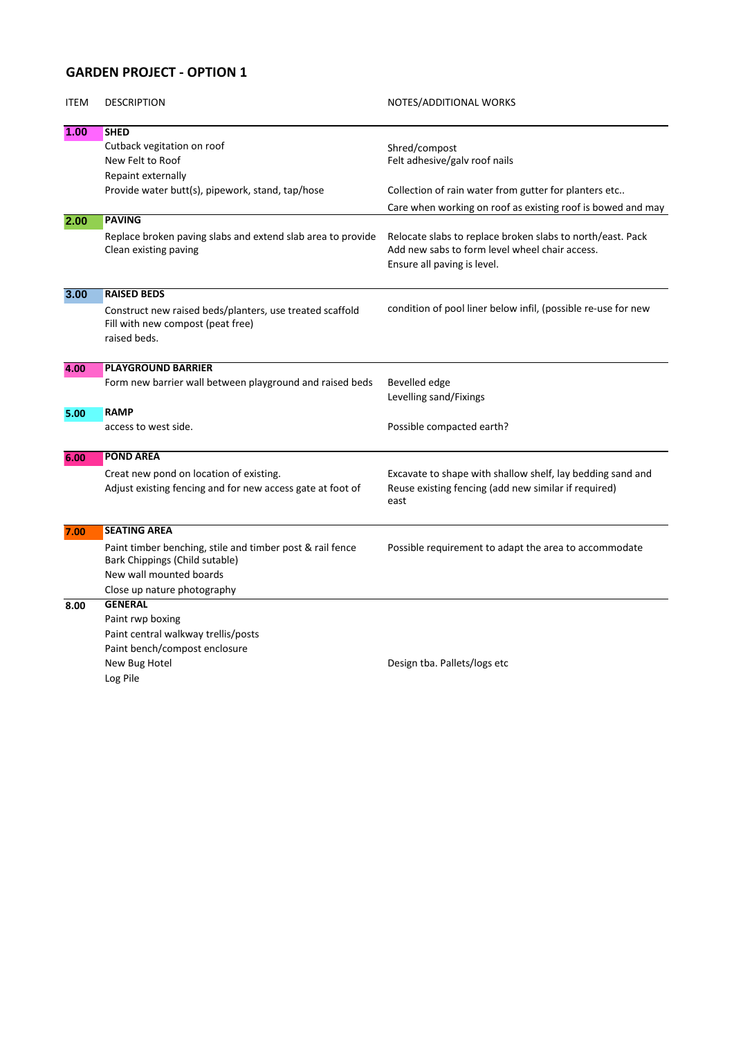## **GARDEN PROJECT - OPTION 1**

| <b>ITEM</b> | <b>DESCRIPTION</b>                                                                                            | NOTES/ADDITIONAL WORKS                                                                                                                      |
|-------------|---------------------------------------------------------------------------------------------------------------|---------------------------------------------------------------------------------------------------------------------------------------------|
| 1.00        | <b>SHED</b>                                                                                                   |                                                                                                                                             |
|             | Cutback vegitation on roof                                                                                    | Shred/compost                                                                                                                               |
|             | New Felt to Roof                                                                                              | Felt adhesive/galv roof nails                                                                                                               |
|             | Repaint externally                                                                                            |                                                                                                                                             |
|             | Provide water butt(s), pipework, stand, tap/hose                                                              | Collection of rain water from gutter for planters etc                                                                                       |
|             |                                                                                                               | Care when working on roof as existing roof is bowed and may                                                                                 |
| 2.00        | <b>PAVING</b>                                                                                                 |                                                                                                                                             |
|             | Replace broken paving slabs and extend slab area to provide<br>Clean existing paving                          | Relocate slabs to replace broken slabs to north/east. Pack<br>Add new sabs to form level wheel chair access.<br>Ensure all paving is level. |
| 3.00        | <b>RAISED BEDS</b>                                                                                            |                                                                                                                                             |
|             | Construct new raised beds/planters, use treated scaffold<br>Fill with new compost (peat free)<br>raised beds. | condition of pool liner below infil, (possible re-use for new                                                                               |
| 4.00        | <b>PLAYGROUND BARRIER</b>                                                                                     |                                                                                                                                             |
|             | Form new barrier wall between playground and raised beds                                                      | Bevelled edge<br>Levelling sand/Fixings                                                                                                     |
| 5.00        | <b>RAMP</b>                                                                                                   |                                                                                                                                             |
|             | access to west side.                                                                                          | Possible compacted earth?                                                                                                                   |
| 6.00        | <b>POND AREA</b>                                                                                              |                                                                                                                                             |
|             | Creat new pond on location of existing.<br>Adjust existing fencing and for new access gate at foot of         | Excavate to shape with shallow shelf, lay bedding sand and<br>Reuse existing fencing (add new similar if required)<br>east                  |
| 7.00        | <b>SEATING AREA</b>                                                                                           |                                                                                                                                             |
|             | Paint timber benching, stile and timber post & rail fence<br>Bark Chippings (Child sutable)                   | Possible requirement to adapt the area to accommodate                                                                                       |
|             | New wall mounted boards                                                                                       |                                                                                                                                             |
|             | Close up nature photography                                                                                   |                                                                                                                                             |
| 8.00        | <b>GENERAL</b>                                                                                                |                                                                                                                                             |
|             | Paint rwp boxing                                                                                              |                                                                                                                                             |
|             | Paint central walkway trellis/posts                                                                           |                                                                                                                                             |
|             | Paint bench/compost enclosure                                                                                 |                                                                                                                                             |
|             | New Bug Hotel                                                                                                 | Design tba. Pallets/logs etc                                                                                                                |
|             | Log Pile                                                                                                      |                                                                                                                                             |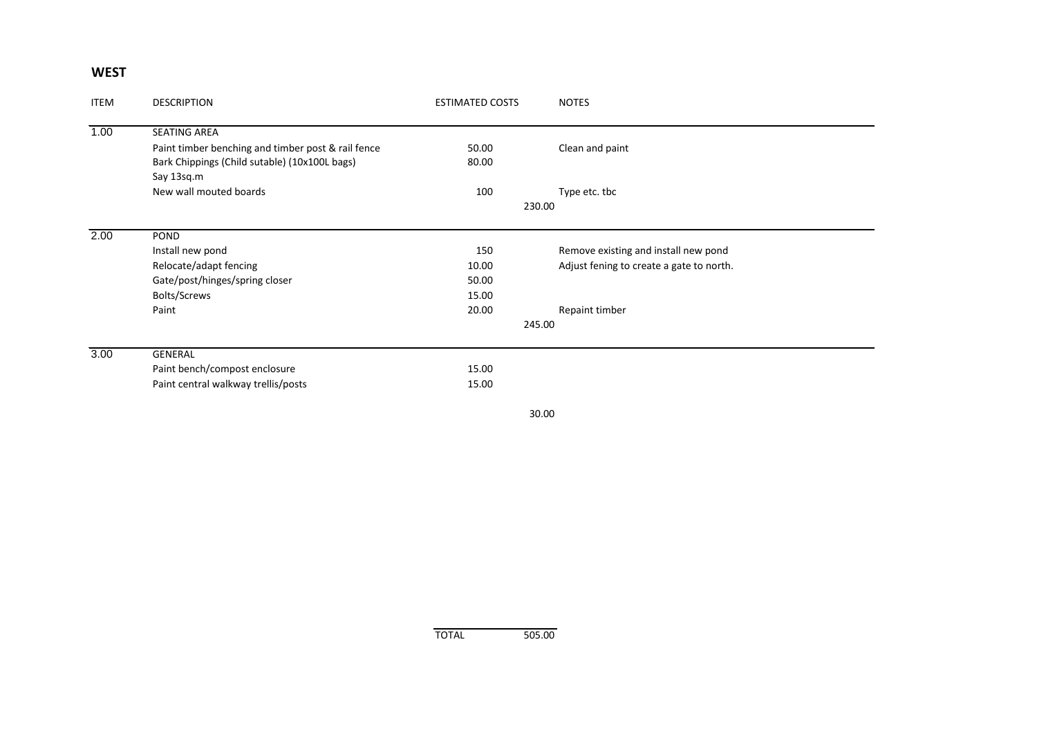## **WEST**

| <b>ITEM</b> | <b>DESCRIPTION</b>                                 | <b>ESTIMATED COSTS</b> | <b>NOTES</b>                             |  |  |
|-------------|----------------------------------------------------|------------------------|------------------------------------------|--|--|
| 1.00        | <b>SEATING AREA</b>                                |                        |                                          |  |  |
|             | Paint timber benching and timber post & rail fence | 50.00                  | Clean and paint                          |  |  |
|             | Bark Chippings (Child sutable) (10x100L bags)      | 80.00                  |                                          |  |  |
|             | Say 13sq.m                                         |                        |                                          |  |  |
|             | New wall mouted boards                             | 100                    | Type etc. tbc                            |  |  |
|             |                                                    | 230.00                 |                                          |  |  |
| 2.00        | POND                                               |                        |                                          |  |  |
|             | Install new pond                                   | 150                    | Remove existing and install new pond     |  |  |
|             | Relocate/adapt fencing                             | 10.00                  | Adjust fening to create a gate to north. |  |  |
|             | Gate/post/hinges/spring closer                     | 50.00                  |                                          |  |  |
|             | Bolts/Screws                                       | 15.00                  |                                          |  |  |
|             | Paint                                              | 20.00                  | Repaint timber                           |  |  |
|             |                                                    | 245.00                 |                                          |  |  |
| 3.00        | <b>GENERAL</b>                                     |                        |                                          |  |  |
|             | Paint bench/compost enclosure                      | 15.00                  |                                          |  |  |
|             | Paint central walkway trellis/posts                | 15.00                  |                                          |  |  |
|             |                                                    |                        | 30.00                                    |  |  |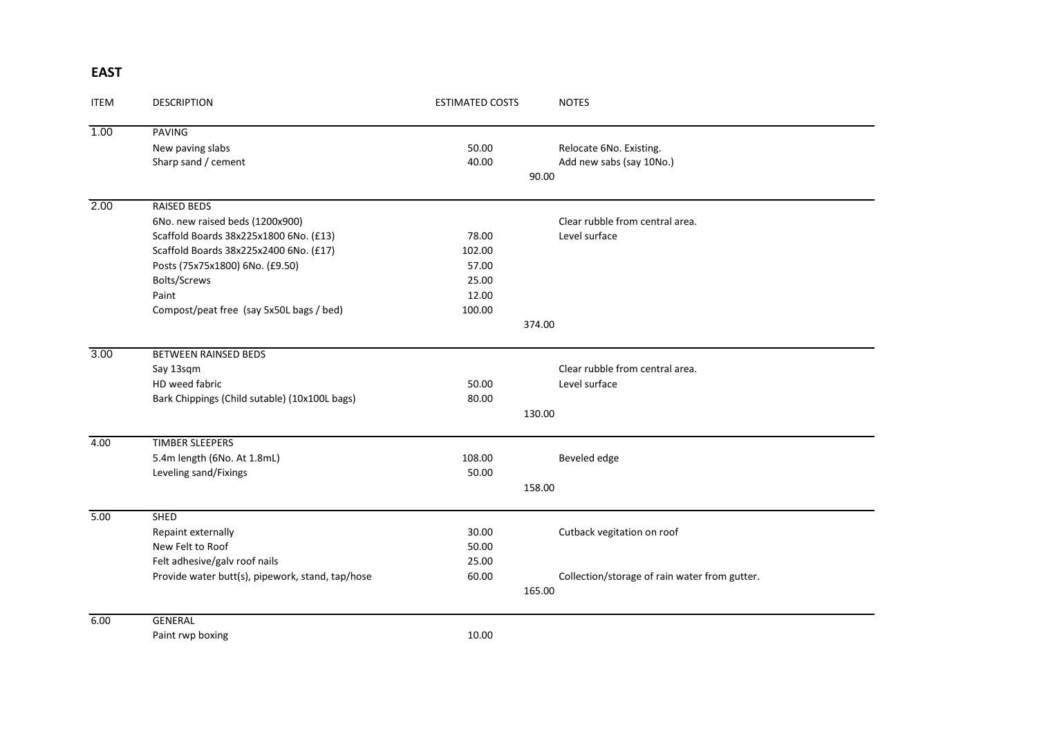## **EAST**

| <b>ITEM</b> | <b>DESCRIPTION</b>                               | <b>ESTIMATED COSTS</b> | <b>NOTES</b>                                  |
|-------------|--------------------------------------------------|------------------------|-----------------------------------------------|
| 1.00        | <b>PAVING</b>                                    |                        |                                               |
|             | New paving slabs                                 | 50.00                  | Relocate 6No. Existing.                       |
|             | Sharp sand / cement                              | 40.00                  | Add new sabs (say 10No.)                      |
|             |                                                  |                        | 90.00                                         |
| 2.00        | <b>RAISED BEDS</b>                               |                        |                                               |
|             | 6No. new raised beds (1200x900)                  |                        | Clear rubble from central area.               |
|             | Scaffold Boards 38x225x1800 6No. (£13)           | 78.00                  | Level surface                                 |
|             | Scaffold Boards 38x225x2400 6No. (£17)           | 102.00                 |                                               |
|             | Posts (75x75x1800) 6No. (£9.50)                  | 57.00                  |                                               |
|             | Bolts/Screws                                     | 25.00                  |                                               |
|             | Paint                                            | 12.00                  |                                               |
|             | Compost/peat free (say 5x50L bags / bed)         | 100.00                 |                                               |
|             |                                                  |                        | 374.00                                        |
| 3.00        | <b>BETWEEN RAINSED BEDS</b>                      |                        |                                               |
|             | Say 13sqm                                        |                        | Clear rubble from central area.               |
|             | HD weed fabric                                   | 50.00                  | Level surface                                 |
|             | Bark Chippings (Child sutable) (10x100L bags)    | 80.00                  |                                               |
|             |                                                  | 130.00                 |                                               |
| 4.00        | <b>TIMBER SLEEPERS</b>                           |                        |                                               |
|             | 5.4m length (6No. At 1.8mL)                      | 108.00                 | Beveled edge                                  |
|             | Leveling sand/Fixings                            | 50.00                  |                                               |
|             |                                                  | 158.00                 |                                               |
| 5.00        | <b>SHED</b>                                      |                        |                                               |
|             | Repaint externally                               | 30.00                  | Cutback vegitation on roof                    |
|             | New Felt to Roof                                 | 50.00                  |                                               |
|             | Felt adhesive/galv roof nails                    | 25.00                  |                                               |
|             | Provide water butt(s), pipework, stand, tap/hose | 60.00                  | Collection/storage of rain water from gutter. |
|             |                                                  | 165.00                 |                                               |
| 6.00        | <b>GENERAL</b>                                   |                        |                                               |
|             | Paint rwp boxing                                 | 10.00                  |                                               |